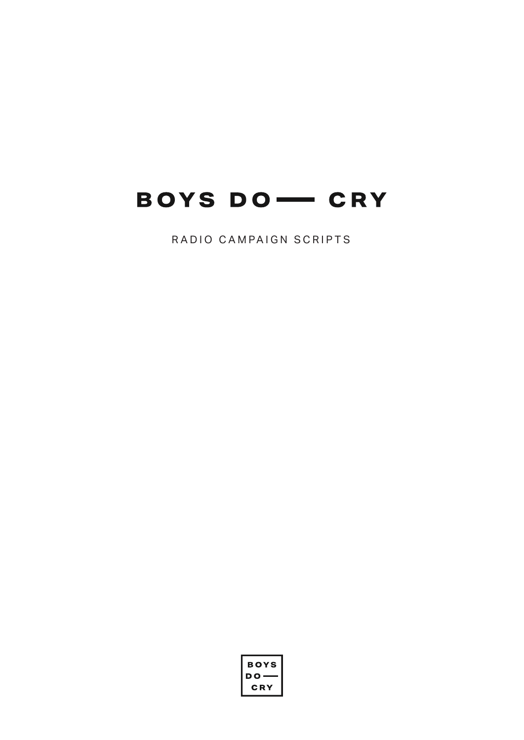

RADIO CAMPAIGN SCRIPTS

| BOYS |
|------|
| D O  |
| CRY  |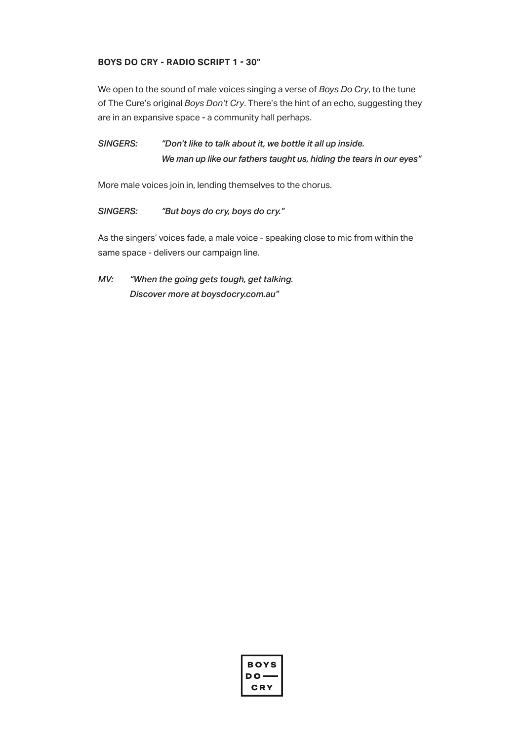# **BOYS DO CRY - RADIO SCRIPT 1 � 30"**

We open to the sound of male voices singing a verse of *Boys Do Cry*, to the tune of The Cure's original *Boys Don't Cry*. There's the hint of an echo, suggesting they are in an expansive space - a community hall perhaps.

# *SINGERS: "Don't like to talk about it, we bottle it all up inside. We man up like our fathers taught us, hiding the tears in our eyes"*

More male voices join in, lending themselves to the chorus.

### *SINGERS: "But boys do cry, boys do cry."*

As the singers' voices fade, a male voice - speaking close to mic from within the same space - delivers our campaign line.

*MV: "When the going gets tough, get talking. Discover more at boysdocry.com.au"*

| BOYS |
|------|
| D O  |
| CRY  |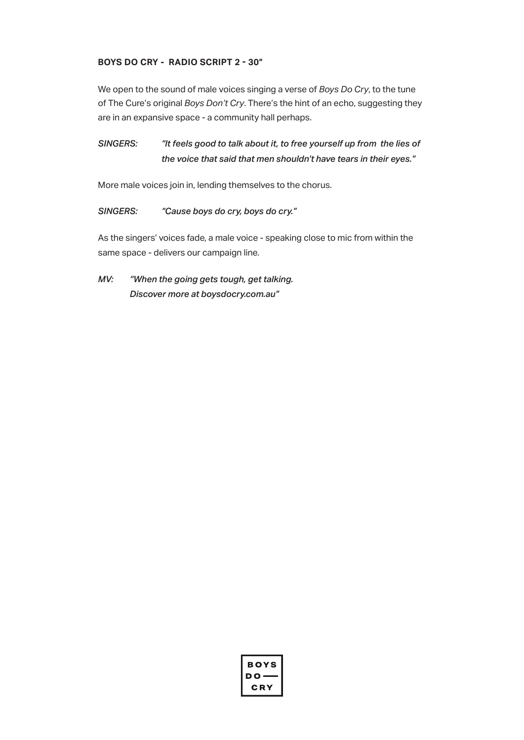# **BOYS DO CRY - RADIO SCRIPT 2 � 30"**

We open to the sound of male voices singing a verse of *Boys Do Cry*, to the tune of The Cure's original *Boys Don't Cry*. There's the hint of an echo, suggesting they are in an expansive space - a community hall perhaps.

*SINGERS: "It feels good to talk about it, to free yourself up from the lies of the voice that said that men shouldn't have tears in their eyes."*

More male voices join in, lending themselves to the chorus.

#### *SINGERS: "Cause boys do cry, boys do cry."*

As the singers' voices fade, a male voice - speaking close to mic from within the same space - delivers our campaign line.

*MV: "When the going gets tough, get talking. Discover more at boysdocry.com.au"*

| BOYS |
|------|
| D O  |
| CRY  |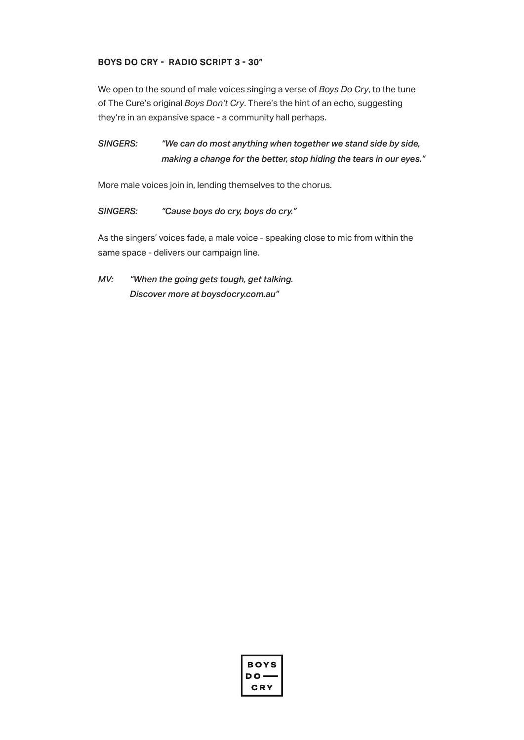# **BOYS DO CRY � RADIO SCRIPT 3 � 30"**

We open to the sound of male voices singing a verse of *Boys Do Cry*, to the tune of The Cure's original *Boys Don't Cry*. There's the hint of an echo, suggesting they're in an expansive space - a community hall perhaps.

# *SINGERS: "We can do most anything when together we stand side by side, making a change for the better, stop hiding the tears in our eyes."*

More male voices join in, lending themselves to the chorus.

### *SINGERS: "Cause boys do cry, boys do cry."*

As the singers' voices fade, a male voice - speaking close to mic from within the same space - delivers our campaign line.

*MV: "When the going gets tough, get talking. Discover more at boysdocry.com.au"*

| BOYS |
|------|
| D O  |
| CRY  |